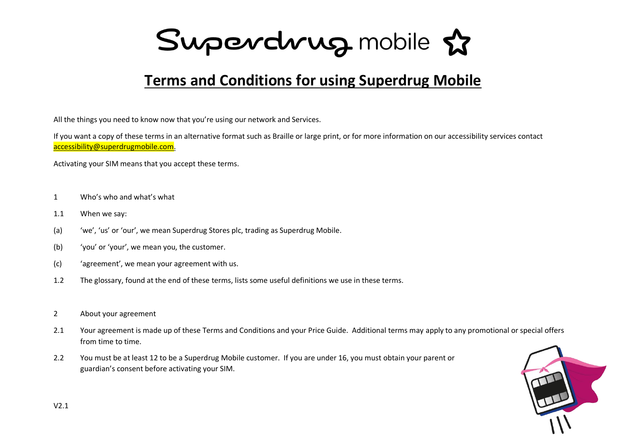Superdrug mobile &

### **Terms and Conditions for using Superdrug Mobile**

All the things you need to know now that you're using our network and Services.

If you want a copy of these terms in an alternative format such as Braille or large print, or for more information on our accessibility services contact [accessibility@superdrugmobile.com.](mailto:accessibility@superdrugmobile.com)

Activating your SIM means that you accept these terms.

- 1 Who's who and what's what
- 1.1 When we say:
- (a) 'we', 'us' or 'our', we mean Superdrug Stores plc, trading as Superdrug Mobile.
- (b) 'you' or 'your', we mean you, the customer.
- (c) 'agreement', we mean your agreement with us.
- 1.2 The glossary, found at the end of these terms, lists some useful definitions we use in these terms.
- 2 About your agreement
- 2.1 Your agreement is made up of these Terms and Conditions and your Price Guide. Additional terms may apply to any promotional or special offers from time to time.
- 2.2 You must be at least 12 to be a Superdrug Mobile customer. If you are under 16, you must obtain your parent or guardian's consent before activating your SIM.

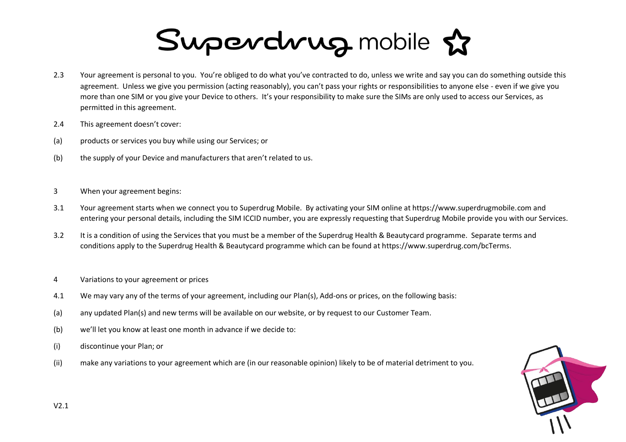- 2.3 Your agreement is personal to you. You're obliged to do what you've contracted to do, unless we write and say you can do something outside this agreement. Unless we give you permission (acting reasonably), you can't pass your rights or responsibilities to anyone else - even if we give you more than one SIM or you give your Device to others. It's your responsibility to make sure the SIMs are only used to access our Services, as permitted in this agreement.
- 2.4 This agreement doesn't cover:
- (a) products or services you buy while using our Services; or
- (b) the supply of your Device and manufacturers that aren't related to us.
- 3 When your agreement begins:
- 3.1 Your agreement starts when we connect you to Superdrug Mobile. By activating your SIM online at https://www.superdrugmobile.com and entering your personal details, including the SIM ICCID number, you are expressly requesting that Superdrug Mobile provide you with our Services.
- 3.2 It is a condition of using the Services that you must be a member of the Superdrug Health & Beautycard programme. Separate terms and conditions apply to the Superdrug Health & Beautycard programme which can be found at https://www.superdrug.com/bcTerms.
- 4 Variations to your agreement or prices
- 4.1 We may vary any of the terms of your agreement, including our Plan(s), Add-ons or prices, on the following basis:
- (a) any updated Plan(s) and new terms will be available on our website, or by request to our Customer Team.
- (b) we'll let you know at least one month in advance if we decide to:
- (i) discontinue your Plan; or
- (ii) make any variations to your agreement which are (in our reasonable opinion) likely to be of material detriment to you.

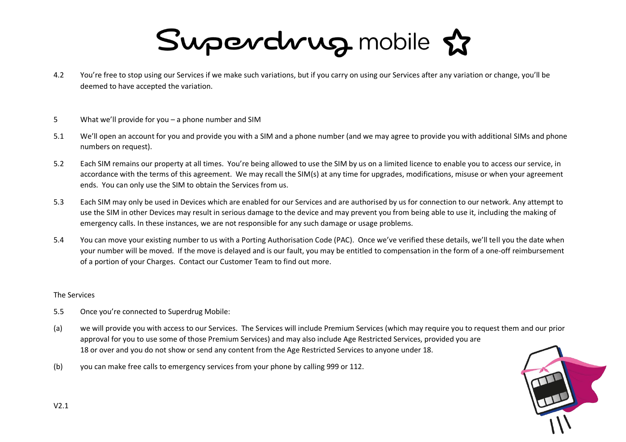- 4.2 You're free to stop using our Services if we make such variations, but if you carry on using our Services after any variation or change, you'll be deemed to have accepted the variation.
- 5 What we'll provide for you a phone number and SIM
- 5.1 We'll open an account for you and provide you with a SIM and a phone number (and we may agree to provide you with additional SIMs and phone numbers on request).
- 5.2 Each SIM remains our property at all times. You're being allowed to use the SIM by us on a limited licence to enable you to access our service, in accordance with the terms of this agreement. We may recall the SIM(s) at any time for upgrades, modifications, misuse or when your agreement ends. You can only use the SIM to obtain the Services from us.
- 5.3 Each SIM may only be used in Devices which are enabled for our Services and are authorised by us for connection to our network. Any attempt to use the SIM in other Devices may result in serious damage to the device and may prevent you from being able to use it, including the making of emergency calls. In these instances, we are not responsible for any such damage or usage problems.
- 5.4 You can move your existing number to us with a Porting Authorisation Code (PAC). Once we've verified these details, we'll tell you the date when your number will be moved. If the move is delayed and is our fault, you may be entitled to compensation in the form of a one-off reimbursement of a portion of your Charges. Contact our Customer Team to find out more.

#### The Services

- 5.5 Once you're connected to Superdrug Mobile:
- (a) we will provide you with access to our Services. The Services will include Premium Services (which may require you to request them and our prior approval for you to use some of those Premium Services) and may also include Age Restricted Services, provided you are 18 or over and you do not show or send any content from the Age Restricted Services to anyone under 18.
- (b) you can make free calls to emergency services from your phone by calling 999 or 112.

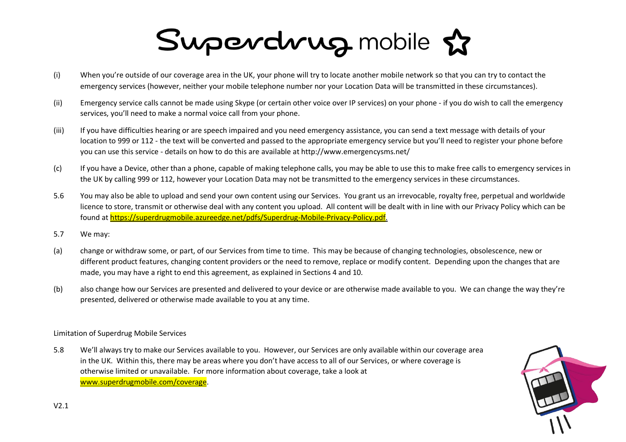- (i) When you're outside of our coverage area in the UK, your phone will try to locate another mobile network so that you can try to contact the emergency services (however, neither your mobile telephone number nor your Location Data will be transmitted in these circumstances).
- (ii) Emergency service calls cannot be made using Skype (or certain other voice over IP services) on your phone if you do wish to call the emergency services, you'll need to make a normal voice call from your phone.
- (iii) If you have difficulties hearing or are speech impaired and you need emergency assistance, you can send a text message with details of your location to 999 or 112 - the text will be converted and passed to the appropriate emergency service but you'll need to register your phone before you can use this service - details on how to do this are available at http://www.emergencysms.net/
- (c) If you have a Device, other than a phone, capable of making telephone calls, you may be able to use this to make free calls to emergency services in the UK by calling 999 or 112, however your Location Data may not be transmitted to the emergency services in these circumstances.
- 5.6 You may also be able to upload and send your own content using our Services. You grant us an irrevocable, royalty free, perpetual and worldwide licence to store, transmit or otherwise deal with any content you upload. All content will be dealt with in line with our Privacy Policy which can be found at [https://superdrugmobile.azureedge.net/pdfs/Superdrug-Mobile-Privacy-Policy.pdf.](https://superdrugmobile.azureedge.net/pdfs/Superdrug-Mobile-Privacy-Policy.pdf)
- 5.7 We may:
- (a) change or withdraw some, or part, of our Services from time to time. This may be because of changing technologies, obsolescence, new or different product features, changing content providers or the need to remove, replace or modify content. Depending upon the changes that are made, you may have a right to end this agreement, as explained in Sections 4 and 10.
- (b) also change how our Services are presented and delivered to your device or are otherwise made available to you. We can change the way they're presented, delivered or otherwise made available to you at any time.

Limitation of Superdrug Mobile Services

5.8 We'll always try to make our Services available to you. However, our Services are only available within our coverage area in the UK. Within this, there may be areas where you don't have access to all of our Services, or where coverage is otherwise limited or unavailable. For more information about coverage, take a look at [www.superdrugmobile.com/coverage.](http://www.superdrugmobile.com/coverage)

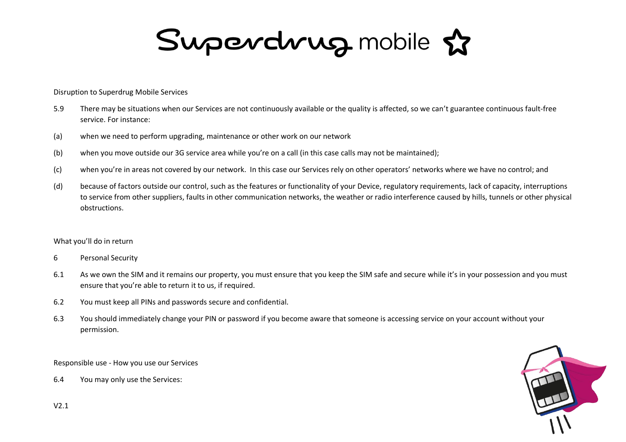Superdrug mobile &

Disruption to Superdrug Mobile Services

- 5.9 There may be situations when our Services are not continuously available or the quality is affected, so we can't guarantee continuous fault-free service. For instance:
- (a) when we need to perform upgrading, maintenance or other work on our network
- (b) when you move outside our 3G service area while you're on a call (in this case calls may not be maintained);
- (c) when you're in areas not covered by our network. In this case our Services rely on other operators' networks where we have no control; and
- (d) because of factors outside our control, such as the features or functionality of your Device, regulatory requirements, lack of capacity, interruptions to service from other suppliers, faults in other communication networks, the weather or radio interference caused by hills, tunnels or other physical obstructions.

#### What you'll do in return

- 6 Personal Security
- 6.1 As we own the SIM and it remains our property, you must ensure that you keep the SIM safe and secure while it's in your possession and you must ensure that you're able to return it to us, if required.
- 6.2 You must keep all PINs and passwords secure and confidential.
- 6.3 You should immediately change your PIN or password if you become aware that someone is accessing service on your account without your permission.

Responsible use - How you use our Services

6.4 You may only use the Services:

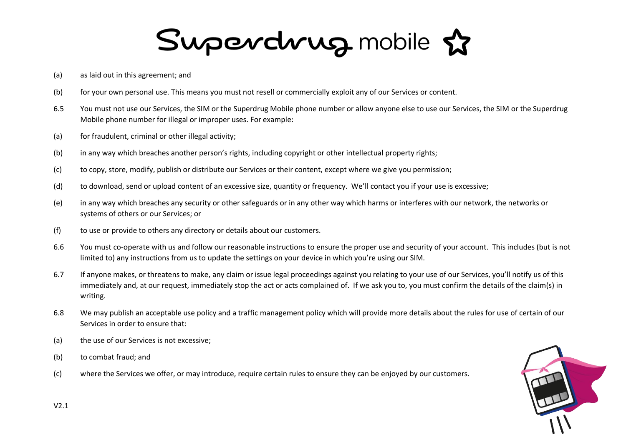- (a) as laid out in this agreement; and
- (b) for your own personal use. This means you must not resell or commercially exploit any of our Services or content.
- 6.5 You must not use our Services, the SIM or the Superdrug Mobile phone number or allow anyone else to use our Services, the SIM or the Superdrug Mobile phone number for illegal or improper uses. For example:
- (a) for fraudulent, criminal or other illegal activity;
- (b) in any way which breaches another person's rights, including copyright or other intellectual property rights;
- (c) to copy, store, modify, publish or distribute our Services or their content, except where we give you permission;
- (d) to download, send or upload content of an excessive size, quantity or frequency. We'll contact you if your use is excessive;
- (e) in any way which breaches any security or other safeguards or in any other way which harms or interferes with our network, the networks or systems of others or our Services; or
- (f) to use or provide to others any directory or details about our customers.
- 6.6 You must co-operate with us and follow our reasonable instructions to ensure the proper use and security of your account. This includes (but is not limited to) any instructions from us to update the settings on your device in which you're using our SIM.
- 6.7 If anyone makes, or threatens to make, any claim or issue legal proceedings against you relating to your use of our Services, you'll notify us of this immediately and, at our request, immediately stop the act or acts complained of. If we ask you to, you must confirm the details of the claim(s) in writing.
- 6.8 We may publish an acceptable use policy and a traffic management policy which will provide more details about the rules for use of certain of our Services in order to ensure that:
- (a) the use of our Services is not excessive;
- (b) to combat fraud; and
- (c) where the Services we offer, or may introduce, require certain rules to ensure they can be enjoyed by our customers.

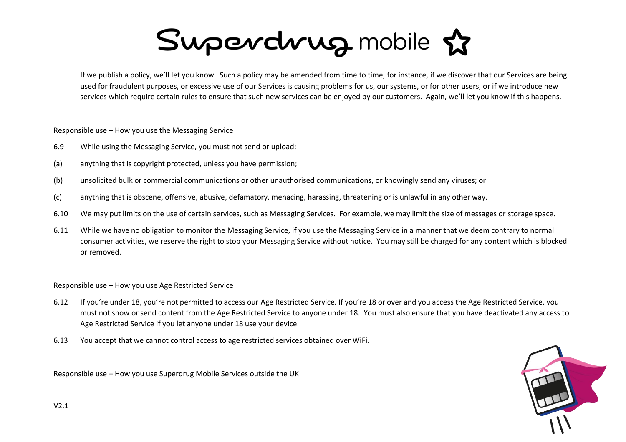If we publish a policy, we'll let you know. Such a policy may be amended from time to time, for instance, if we discover that our Services are being used for fraudulent purposes, or excessive use of our Services is causing problems for us, our systems, or for other users, or if we introduce new services which require certain rules to ensure that such new services can be enjoyed by our customers. Again, we'll let you know if this happens.

Responsible use – How you use the Messaging Service

- 6.9 While using the Messaging Service, you must not send or upload:
- (a) anything that is copyright protected, unless you have permission;
- (b) unsolicited bulk or commercial communications or other unauthorised communications, or knowingly send any viruses; or
- (c) anything that is obscene, offensive, abusive, defamatory, menacing, harassing, threatening or is unlawful in any other way.
- 6.10 We may put limits on the use of certain services, such as Messaging Services. For example, we may limit the size of messages or storage space.
- 6.11 While we have no obligation to monitor the Messaging Service, if you use the Messaging Service in a manner that we deem contrary to normal consumer activities, we reserve the right to stop your Messaging Service without notice. You may still be charged for any content which is blocked or removed.

Responsible use – How you use Age Restricted Service

- 6.12 If you're under 18, you're not permitted to access our Age Restricted Service. If you're 18 or over and you access the Age Restricted Service, you must not show or send content from the Age Restricted Service to anyone under 18. You must also ensure that you have deactivated any access to Age Restricted Service if you let anyone under 18 use your device.
- 6.13 You accept that we cannot control access to age restricted services obtained over WiFi.

Responsible use – How you use Superdrug Mobile Services outside the UK

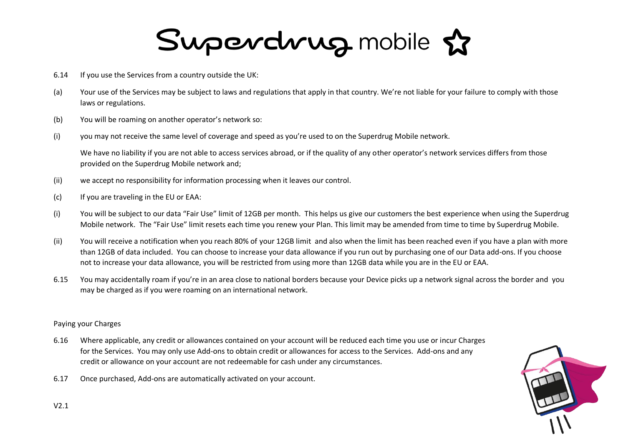- 6.14 If you use the Services from a country outside the UK:
- (a) Your use of the Services may be subject to laws and regulations that apply in that country. We're not liable for your failure to comply with those laws or regulations.
- (b) You will be roaming on another operator's network so:
- (i) you may not receive the same level of coverage and speed as you're used to on the Superdrug Mobile network.

We have no liability if you are not able to access services abroad, or if the quality of any other operator's network services differs from those provided on the Superdrug Mobile network and;

- (ii) we accept no responsibility for information processing when it leaves our control.
- (c) If you are traveling in the EU or EAA:
- (i) You will be subject to our data "Fair Use" limit of 12GB per month. This helps us give our customers the best experience when using the Superdrug Mobile network. The "Fair Use" limit resets each time you renew your Plan. This limit may be amended from time to time by Superdrug Mobile.
- (ii) You will receive a notification when you reach 80% of your 12GB limit and also when the limit has been reached even if you have a plan with more than 12GB of data included. You can choose to increase your data allowance if you run out by purchasing one of our Data add-ons. If you choose not to increase your data allowance, you will be restricted from using more than 12GB data while you are in the EU or EAA.
- 6.15 You may accidentally roam if you're in an area close to national borders because your Device picks up a network signal across the border and you may be charged as if you were roaming on an international network.

#### Paying your Charges

- 6.16 Where applicable, any credit or allowances contained on your account will be reduced each time you use or incur Charges for the Services. You may only use Add-ons to obtain credit or allowances for access to the Services. Add-ons and any credit or allowance on your account are not redeemable for cash under any circumstances.
- 6.17 Once purchased, Add-ons are automatically activated on your account.

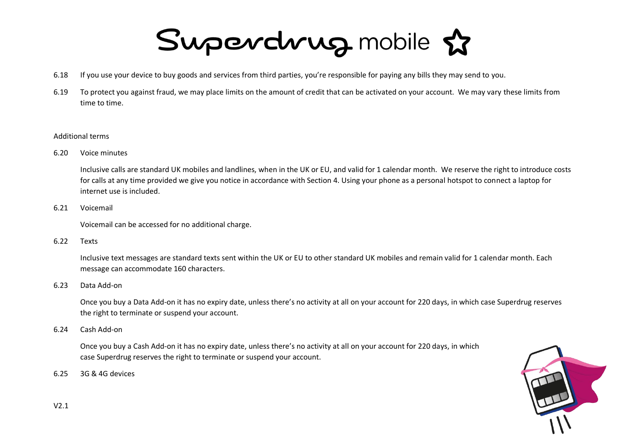- 6.18 If you use your device to buy goods and services from third parties, you're responsible for paying any bills they may send to you.
- 6.19 To protect you against fraud, we may place limits on the amount of credit that can be activated on your account. We may vary these limits from time to time.

#### Additional terms

6.20 Voice minutes

Inclusive calls are standard UK mobiles and landlines, when in the UK or EU, and valid for 1 calendar month. We reserve the right to introduce costs for calls at any time provided we give you notice in accordance with Section 4. Using your phone as a personal hotspot to connect a laptop for internet use is included.

6.21 Voicemail

Voicemail can be accessed for no additional charge.

6.22 Texts

Inclusive text messages are standard texts sent within the UK or EU to other standard UK mobiles and remain valid for 1 calendar month. Each message can accommodate 160 characters.

6.23 Data Add-on

Once you buy a Data Add-on it has no expiry date, unless there's no activity at all on your account for 220 days, in which case Superdrug reserves the right to terminate or suspend your account.

6.24 Cash Add-on

Once you buy a Cash Add-on it has no expiry date, unless there's no activity at all on your account for 220 days, in which case Superdrug reserves the right to terminate or suspend your account.

6.25 3G & 4G devices

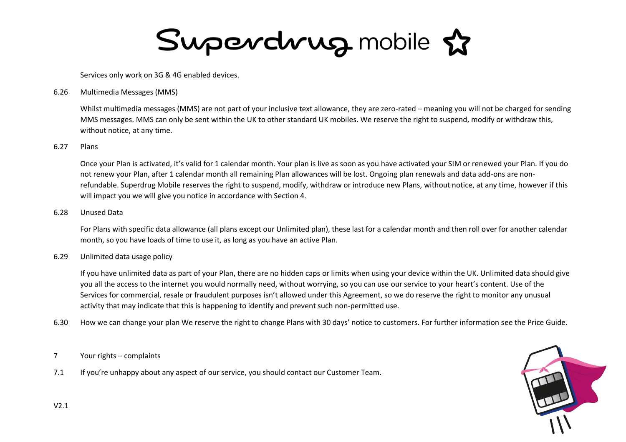Services only work on 3G & 4G enabled devices.

6.26 Multimedia Messages (MMS)

Whilst multimedia messages (MMS) are not part of your inclusive text allowance, they are zero-rated – meaning you will not be charged for sending MMS messages. MMS can only be sent within the UK to other standard UK mobiles. We reserve the right to suspend, modify or withdraw this, without notice, at any time.

#### 6.27 Plans

Once your Plan is activated, it's valid for 1 calendar month. Your plan is live as soon as you have activated your SIM or renewed your Plan. If you do not renew your Plan, after 1 calendar month all remaining Plan allowances will be lost. Ongoing plan renewals and data add-ons are nonrefundable. Superdrug Mobile reserves the right to suspend, modify, withdraw or introduce new Plans, without notice, at any time, however if this will impact you we will give you notice in accordance with Section 4.

#### 6.28 Unused Data

For Plans with specific data allowance (all plans except our Unlimited plan), these last for a calendar month and then roll over for another calendar month, so you have loads of time to use it, as long as you have an active Plan.

#### 6.29 Unlimited data usage policy

If you have unlimited data as part of your Plan, there are no hidden caps or limits when using your device within the UK. Unlimited data should give you all the access to the internet you would normally need, without worrying, so you can use our service to your heart's content. Use of the Services for commercial, resale or fraudulent purposes isn't allowed under this Agreement, so we do reserve the right to monitor any unusual activity that may indicate that this is happening to identify and prevent such non-permitted use.

6.30 How we can change your plan We reserve the right to change Plans with 30 days' notice to customers. For further information see the Price Guide.

#### 7 Your rights – complaints

7.1 If you're unhappy about any aspect of our service, you should contact our Customer Team.

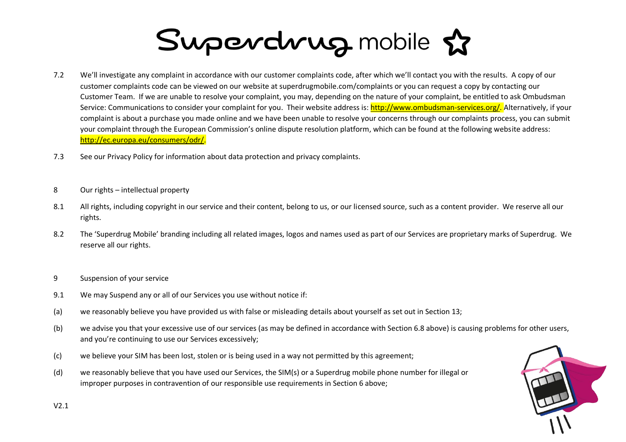- 7.2 We'll investigate any complaint in accordance with our customer complaints code, after which we'll contact you with the results. A copy of our customer complaints code can be viewed on our website at superdrugmobile.com/complaints or you can request a copy by contacting our Customer Team. If we are unable to resolve your complaint, you may, depending on the nature of your complaint, be entitled to ask Ombudsman Service: Communications to consider your complaint for you. Their website address is: [http://www.ombudsman-services.org/.](http://www.ombudsman-services.org/) Alternatively, if your complaint is about a purchase you made online and we have been unable to resolve your concerns through our complaints process, you can submit your complaint through the European Commission's online dispute resolution platform, which can be found at the following website address: [http://ec.europa.eu/consumers/odr/.](http://ec.europa.eu/consumers/odr/)
- 7.3 See our Privacy Policy for information about data protection and privacy complaints.
- 8 Our rights intellectual property
- 8.1 All rights, including copyright in our service and their content, belong to us, or our licensed source, such as a content provider. We reserve all our rights.
- 8.2 The 'Superdrug Mobile' branding including all related images, logos and names used as part of our Services are proprietary marks of Superdrug. We reserve all our rights.
- 9 Suspension of your service
- 9.1 We may Suspend any or all of our Services you use without notice if:
- (a) we reasonably believe you have provided us with false or misleading details about yourself as set out in Section 13;
- (b) we advise you that your excessive use of our services (as may be defined in accordance with Section 6.8 above) is causing problems for other users, and you're continuing to use our Services excessively;
- (c) we believe your SIM has been lost, stolen or is being used in a way not permitted by this agreement;
- (d) we reasonably believe that you have used our Services, the SIM(s) or a Superdrug mobile phone number for illegal or improper purposes in contravention of our responsible use requirements in Section 6 above;

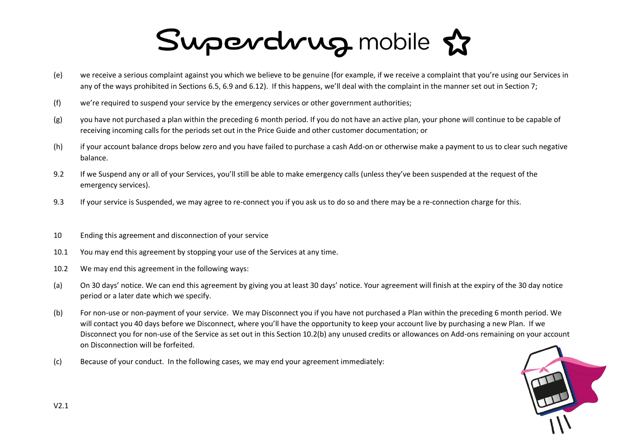- (e) we receive a serious complaint against you which we believe to be genuine (for example, if we receive a complaint that you're using our Services in any of the ways prohibited in Sections 6.5, 6.9 and 6.12). If this happens, we'll deal with the complaint in the manner set out in Section 7;
- (f) we're required to suspend your service by the emergency services or other government authorities;
- (g) you have not purchased a plan within the preceding 6 month period. If you do not have an active plan, your phone will continue to be capable of receiving incoming calls for the periods set out in the Price Guide and other customer documentation; or
- (h) if your account balance drops below zero and you have failed to purchase a cash Add-on or otherwise make a payment to us to clear such negative balance.
- 9.2 If we Suspend any or all of your Services, you'll still be able to make emergency calls (unless they've been suspended at the request of the emergency services).
- 9.3 If your service is Suspended, we may agree to re-connect you if you ask us to do so and there may be a re-connection charge for this.
- 10 Ending this agreement and disconnection of your service
- 10.1 You may end this agreement by stopping your use of the Services at any time.
- 10.2 We may end this agreement in the following ways:
- (a) On 30 days' notice. We can end this agreement by giving you at least 30 days' notice. Your agreement will finish at the expiry of the 30 day notice period or a later date which we specify.
- (b) For non-use or non-payment of your service. We may Disconnect you if you have not purchased a Plan within the preceding 6 month period. We will contact you 40 days before we Disconnect, where you'll have the opportunity to keep your account live by purchasing a new Plan. If we Disconnect you for non-use of the Service as set out in this Section 10.2(b) any unused credits or allowances on Add-ons remaining on your account on Disconnection will be forfeited.
- (c) Because of your conduct. In the following cases, we may end your agreement immediately:

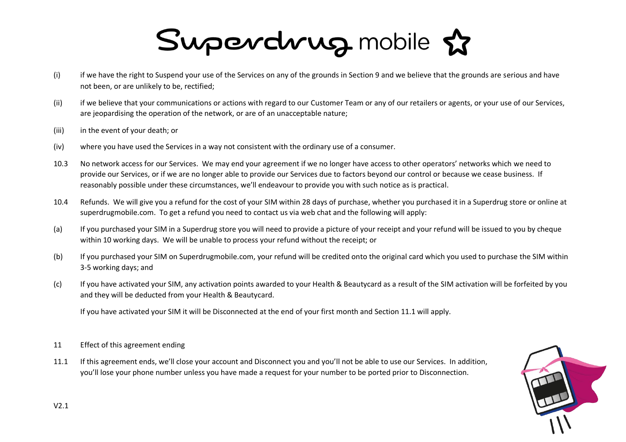- (i) if we have the right to Suspend your use of the Services on any of the grounds in Section 9 and we believe that the grounds are serious and have not been, or are unlikely to be, rectified;
- (ii) if we believe that your communications or actions with regard to our Customer Team or any of our retailers or agents, or your use of our Services, are jeopardising the operation of the network, or are of an unacceptable nature;
- (iii) in the event of your death; or
- (iv) where you have used the Services in a way not consistent with the ordinary use of a consumer.
- 10.3 No network access for our Services. We may end your agreement if we no longer have access to other operators' networks which we need to provide our Services, or if we are no longer able to provide our Services due to factors beyond our control or because we cease business. If reasonably possible under these circumstances, we'll endeavour to provide you with such notice as is practical.
- 10.4 Refunds. We will give you a refund for the cost of your SIM within 28 days of purchase, whether you purchased it in a Superdrug store or online at superdrugmobile.com. To get a refund you need to contact us via web chat and the following will apply:
- (a) If you purchased your SIM in a Superdrug store you will need to provide a picture of your receipt and your refund will be issued to you by cheque within 10 working days. We will be unable to process your refund without the receipt; or
- (b) If you purchased your SIM on Superdrugmobile.com, your refund will be credited onto the original card which you used to purchase the SIM within 3-5 working days; and
- (c) If you have activated your SIM, any activation points awarded to your Health & Beautycard as a result of the SIM activation will be forfeited by you and they will be deducted from your Health & Beautycard.

If you have activated your SIM it will be Disconnected at the end of your first month and Section 11.1 will apply.

- 11 Effect of this agreement ending
- 11.1 If this agreement ends, we'll close your account and Disconnect you and you'll not be able to use our Services. In addition, you'll lose your phone number unless you have made a request for your number to be ported prior to Disconnection.

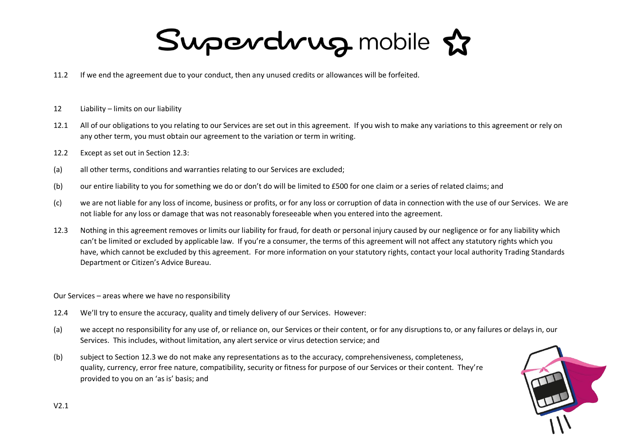- 11.2 If we end the agreement due to your conduct, then any unused credits or allowances will be forfeited.
- 12 Liability limits on our liability
- 12.1 All of our obligations to you relating to our Services are set out in this agreement. If you wish to make any variations to this agreement or rely on any other term, you must obtain our agreement to the variation or term in writing.
- 12.2 Except as set out in Section 12.3:
- (a) all other terms, conditions and warranties relating to our Services are excluded;
- (b) our entire liability to you for something we do or don't do will be limited to £500 for one claim or a series of related claims; and
- (c) we are not liable for any loss of income, business or profits, or for any loss or corruption of data in connection with the use of our Services. We are not liable for any loss or damage that was not reasonably foreseeable when you entered into the agreement.
- 12.3 Nothing in this agreement removes or limits our liability for fraud, for death or personal injury caused by our negligence or for any liability which can't be limited or excluded by applicable law. If you're a consumer, the terms of this agreement will not affect any statutory rights which you have, which cannot be excluded by this agreement. For more information on your statutory rights, contact your local authority Trading Standards Department or Citizen's Advice Bureau.
- Our Services areas where we have no responsibility
- 12.4 We'll try to ensure the accuracy, quality and timely delivery of our Services. However:
- (a) we accept no responsibility for any use of, or reliance on, our Services or their content, or for any disruptions to, or any failures or delays in, our Services. This includes, without limitation, any alert service or virus detection service; and
- (b) subject to Section 12.3 we do not make any representations as to the accuracy, comprehensiveness, completeness, quality, currency, error free nature, compatibility, security or fitness for purpose of our Services or their content. They're provided to you on an 'as is' basis; and

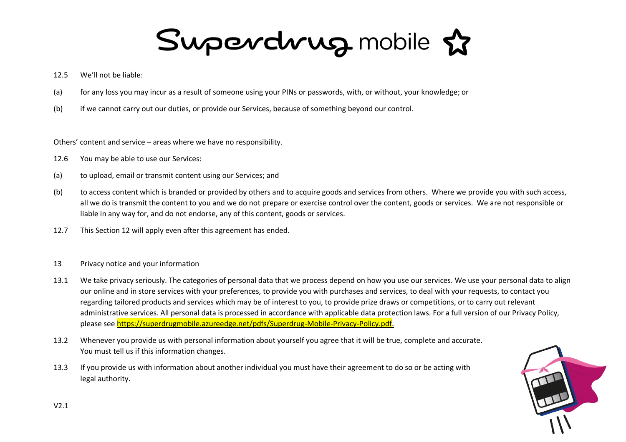- 12.5 We'll not be liable:
- (a) for any loss you may incur as a result of someone using your PINs or passwords, with, or without, your knowledge; or
- (b) if we cannot carry out our duties, or provide our Services, because of something beyond our control.

Others' content and service – areas where we have no responsibility.

- 12.6 You may be able to use our Services:
- (a) to upload, email or transmit content using our Services; and
- (b) to access content which is branded or provided by others and to acquire goods and services from others. Where we provide you with such access, all we do is transmit the content to you and we do not prepare or exercise control over the content, goods or services. We are not responsible or liable in any way for, and do not endorse, any of this content, goods or services.
- 12.7 This Section 12 will apply even after this agreement has ended.
- 13 Privacy notice and your information
- 13.1 We take privacy seriously. The categories of personal data that we process depend on how you use our services. We use your personal data to align our online and in store services with your preferences, to provide you with purchases and services, to deal with your requests, to contact you regarding tailored products and services which may be of interest to you, to provide prize draws or competitions, or to carry out relevant administrative services. All personal data is processed in accordance with applicable data protection laws. For a full version of our Privacy Policy, please see [https://superdrugmobile.azureedge.net/pdfs/Superdrug-Mobile-Privacy-Policy.pdf.](https://superdrugmobile.azureedge.net/pdfs/Superdrug-Mobile-Privacy-Policy.pdf)
- 13.2 Whenever you provide us with personal information about yourself you agree that it will be true, complete and accurate. You must tell us if this information changes.
- 13.3 If you provide us with information about another individual you must have their agreement to do so or be acting with legal authority.

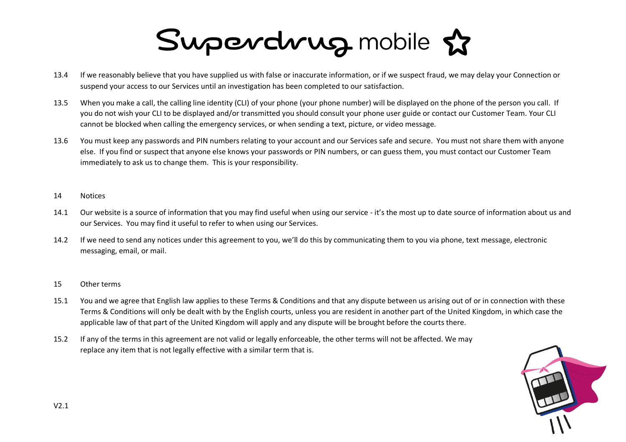- 13.4 If we reasonably believe that you have supplied us with false or inaccurate information, or if we suspect fraud, we may delay your Connection or suspend your access to our Services until an investigation has been completed to our satisfaction.
- 13.5 When you make a call, the calling line identity (CLI) of your phone (your phone number) will be displayed on the phone of the person you call. If you do not wish your CLI to be displayed and/or transmitted you should consult your phone user guide or contact our Customer Team. Your CLI cannot be blocked when calling the emergency services, or when sending a text, picture, or video message.
- 13.6 You must keep any passwords and PIN numbers relating to your account and our Services safe and secure. You must not share them with anyone else. If you find or suspect that anyone else knows your passwords or PIN numbers, or can guess them, you must contact our Customer Team immediately to ask us to change them. This is your responsibility.
- 14 Notices
- 14.1 Our website is a source of information that you may find useful when using our service it's the most up to date source of information about us and our Services. You may find it useful to refer to when using our Services.
- 14.2 If we need to send any notices under this agreement to you, we'll do this by communicating them to you via phone, text message, electronic messaging, email, or mail.
- 15 Other terms
- 15.1 You and we agree that English law applies to these Terms & Conditions and that any dispute between us arising out of or in connection with these Terms & Conditions will only be dealt with by the English courts, unless you are resident in another part of the United Kingdom, in which case the applicable law of that part of the United Kingdom will apply and any dispute will be brought before the courts there.
- 15.2 If any of the terms in this agreement are not valid or legally enforceable, the other terms will not be affected. We may replace any item that is not legally effective with a similar term that is.

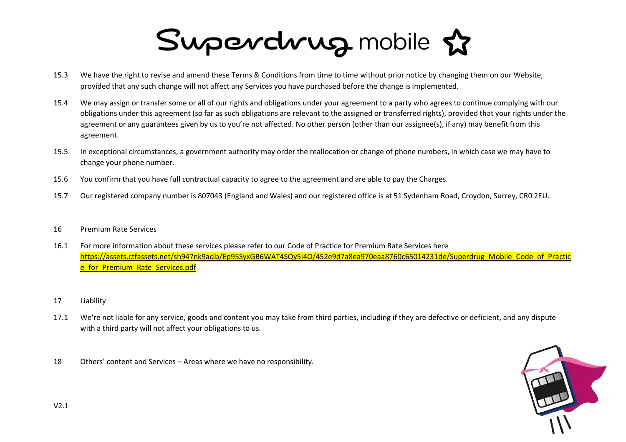- 15.3 We have the right to revise and amend these Terms & Conditions from time to time without prior notice by changing them on our Website, provided that any such change will not affect any Services you have purchased before the change is implemented.
- 15.4 We may assign or transfer some or all of our rights and obligations under your agreement to a party who agrees to continue complying with our obligations under this agreement (so far as such obligations are relevant to the assigned or transferred rights), provided that your rights under the agreement or any guarantees given by us to you're not affected. No other person (other than our assignee(s), if any) may benefit from this agreement.
- 15.5 In exceptional circumstances, a government authority may order the reallocation or change of phone numbers, in which case we may have to change your phone number.
- 15.6 You confirm that you have full contractual capacity to agree to the agreement and are able to pay the Charges.
- 15.7 Our registered company number is 807043 (England and Wales) and our registered office is at 51 Sydenham Road, Croydon, Surrey, CR0 2EU.
- 16 Premium Rate Services
- 16.1 For more information about these services please refer to our Code of Practice for Premium Rate Services here [https://assets.ctfassets.net/sh947nk9acib/Ep95SyxGB6WAT4SQy5i4O/452e9d7a8ea970eaa8760c65014231de/Superdrug\\_Mobile\\_Code\\_of\\_Practic](https://assets.ctfassets.net/sh947nk9acib/Ep95SyxGB6WAT4SQy5i4O/452e9d7a8ea970eaa8760c65014231de/Superdrug_Mobile_Code_of_Practice_for_Premium_Rate_Services.pdf) [e\\_for\\_Premium\\_Rate\\_Services.pdf](https://assets.ctfassets.net/sh947nk9acib/Ep95SyxGB6WAT4SQy5i4O/452e9d7a8ea970eaa8760c65014231de/Superdrug_Mobile_Code_of_Practice_for_Premium_Rate_Services.pdf)
- 17 Liability
- 17.1 We're not liable for any service, goods and content you may take from third parties, including if they are defective or deficient, and any dispute with a third party will not affect your obligations to us.
- 18 Others' content and Services Areas where we have no responsibility.

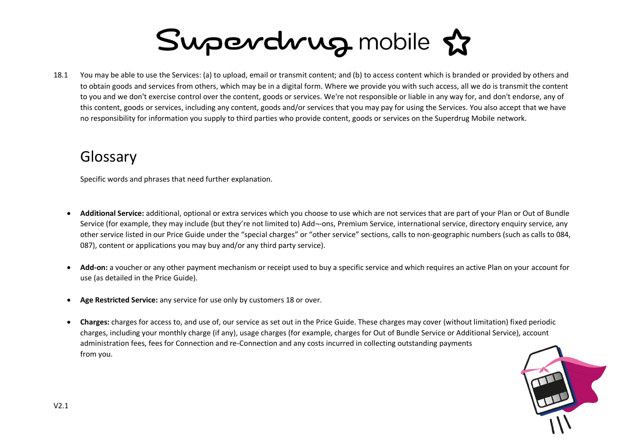18.1 You may be able to use the Services: (a) to upload, email or transmit content; and (b) to access content which is branded or provided by others and to obtain goods and services from others, which may be in a digital form. Where we provide you with such access, all we do is transmit the content to you and we don't exercise control over the content, goods or services. We're not responsible or liable in any way for, and don't endorse, any of this content, goods or services, including any content, goods and/or services that you may pay for using the Services. You also accept that we have no responsibility for information you supply to third parties who provide content, goods or services on the Superdrug Mobile network.

### Glossary

Specific words and phrases that need further explanation.

- **Additional Service:** additional, optional or extra services which you choose to use which are not services that are part of your Plan or Out of Bundle Service (for example, they may include (but they're not limited to) Add--ons, Premium Service, international service, directory enquiry service, any other service listed in our Price Guide under the "special charges" or "other service" sections, calls to non-geographic numbers (such as calls to 084, 087), content or applications you may buy and/or any third party service).
- **Add-on:** a voucher or any other payment mechanism or receipt used to buy a specific service and which requires an active Plan on your account for use (as detailed in the Price Guide).
- **Age Restricted Service:** any service for use only by customers 18 or over.
- **Charges:** charges for access to, and use of, our service as set out in the Price Guide. These charges may cover (without limitation) fixed periodic charges, including your monthly charge (if any), usage charges (for example, charges for Out of Bundle Service or Additional Service), account administration fees, fees for Connection and re-Connection and any costs incurred in collecting outstanding payments from you.

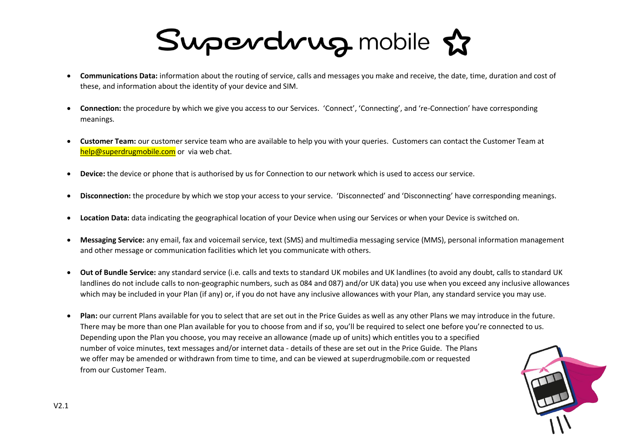- **Communications Data:** information about the routing of service, calls and messages you make and receive, the date, time, duration and cost of these, and information about the identity of your device and SIM.
- **Connection:** the procedure by which we give you access to our Services. 'Connect', 'Connecting', and 're-Connection' have corresponding meanings.
- **Customer Team:** our customer service team who are available to help you with your queries. Customers can contact the Customer Team at [help@superdrugmobile.com](mailto:help@superdrugmobile.com) or via web chat.
- **Device:** the device or phone that is authorised by us for Connection to our network which is used to access our service.
- **Disconnection:** the procedure by which we stop your access to your service. 'Disconnected' and 'Disconnecting' have corresponding meanings.
- **Location Data:** data indicating the geographical location of your Device when using our Services or when your Device is switched on.
- **Messaging Service:** any email, fax and voicemail service, text (SMS) and multimedia messaging service (MMS), personal information management and other message or communication facilities which let you communicate with others.
- **Out of Bundle Service:** any standard service (i.e. calls and texts to standard UK mobiles and UK landlines (to avoid any doubt, calls to standard UK landlines do not include calls to non-geographic numbers, such as 084 and 087) and/or UK data) you use when you exceed any inclusive allowances which may be included in your Plan (if any) or, if you do not have any inclusive allowances with your Plan, any standard service you may use.
- **Plan:** our current Plans available for you to select that are set out in the Price Guides as well as any other Plans we may introduce in the future. There may be more than one Plan available for you to choose from and if so, you'll be required to select one before you're connected to us. Depending upon the Plan you choose, you may receive an allowance (made up of units) which entitles you to a specified number of voice minutes, text messages and/or internet data - details of these are set out in the Price Guide. The Plans we offer may be amended or withdrawn from time to time, and can be viewed at superdrugmobile.com or requested from our Customer Team.